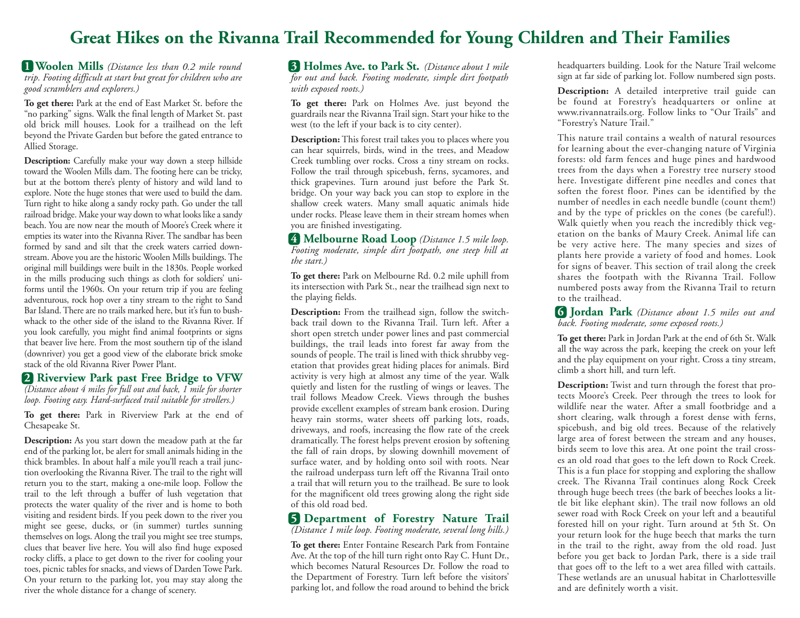## **Great Hikes on the Rivanna Trail Recommended for Young Children and Their Families**

**1 Woolen Mills** *(Distance less than 0.2 mile round trip. Footing difficult at start but great for children who are good scramblers and explorers.)*

**To get there:** Park at the end of East Market St. before the "no parking" signs. Walk the final length of Market St. past old brick mill houses. Look for a trailhead on the left beyond the Private Garden but before the gated entrance to Allied Storage.

**Description:** Carefully make your way down a steep hillside toward the Woolen Mills dam. The footing here can be tricky, but at the bottom there's plenty of history and wild land to explore. Note the huge stones that were used to build the dam. Turn right to hike along a sandy rocky path. Go under the tall railroad bridge. Make your way down to what looks like a sandy beach. You are now near the mouth of Moore's Creek where it empties its water into the Rivanna River. The sandbar has been formed by sand and silt that the creek waters carried downstream. Above you are the historic Woolen Mills buildings. The original mill buildings were built in the 1830s. People worked in the mills producing such things as cloth for soldiers' uniforms until the 1960s. On your return trip if you are feeling adventurous, rock hop over a tiny stream to the right to Sand Bar Island. There are no trails marked here, but it's fun to bushwhack to the other side of the island to the Rivanna River. If you look carefully, you might find animal footprints or signs that beaver live here. From the most southern tip of the island (downriver) you get a good view of the elaborate brick smoke stack of the old Rivanna River Power Plant.

## **2 Riverview Park past Free Bridge to VFW**

*(Distance about 4 miles for full out and back, 1 mile for shorter loop. Footing easy. Hard-surfaced trail suitable for strollers.)*

**To get there:** Park in Riverview Park at the end of Chesapeake St.

**Description:** As you start down the meadow path at the far end of the parking lot, be alert for small animals hiding in the thick brambles. In about half a mile you'll reach a trail junction overlooking the Rivanna River. The trail to the right will return you to the start, making a one-mile loop. Follow the trail to the left through a buffer of lush vegetation that protects the water quality of the river and is home to both visiting and resident birds. If you peek down to the river you might see geese, ducks, or (in summer) turtles sunning themselves on logs. Along the trail you might see tree stumps, clues that beaver live here. You will also find huge exposed rocky cliffs, a place to get down to the river for cooling your toes, picnic tables for snacks, and views of Darden Towe Park. On your return to the parking lot, you may stay along the river the whole distance for a change of scenery.

**3 Holmes Ave. to Park St.** *(Distance about 1 mile for out and back. Footing moderate, simple dirt footpath with exposed roots.)*

**To get there:** Park on Holmes Ave. just beyond the guardrails near the Rivanna Trail sign. Start your hike to the west (to the left if your back is to city center).

**Description:** This forest trail takes you to places where you can hear squirrels, birds, wind in the trees, and Meadow Creek tumbling over rocks. Cross a tiny stream on rocks. Follow the trail through spicebush, ferns, sycamores, and thick grapevines. Turn around just before the Park St. bridge. On your way back you can stop to explore in the shallow creek waters. Many small aquatic animals hide under rocks. Please leave them in their stream homes when you are finished investigating.

**4 Melbourne Road Loop** *(Distance 1.5 mile loop. Footing moderate, simple dirt footpath, one steep hill at the start.)*

**To get there:** Park on Melbourne Rd. 0.2 mile uphill from its intersection with Park St., near the trailhead sign next to the playing fields.

**Description:** From the trailhead sign, follow the switchback trail down to the Rivanna Trail. Turn left. After a short open stretch under power lines and past commercial buildings, the trail leads into forest far away from the sounds of people. The trail is lined with thick shrubby vegetation that provides great hiding places for animals. Bird activity is very high at almost any time of the year. Walk quietly and listen for the rustling of wings or leaves. The trail follows Meadow Creek. Views through the bushes provide excellent examples of stream bank erosion. During heavy rain storms, water sheets off parking lots, roads, driveways, and roofs, increasing the flow rate of the creek dramatically. The forest helps prevent erosion by softening the fall of rain drops, by slowing downhill movement of surface water, and by holding onto soil with roots. Near the railroad underpass turn left off the Rivanna Trail onto a trail that will return you to the trailhead. Be sure to look for the magnificent old trees growing along the right side of this old road bed.

## **5 Department of Forestry Nature Trail**

*(Distance 1 mile loop. Footing moderate, several long hills.)*

**To get there:** Enter Fontaine Research Park from Fontaine Ave. At the top of the hill turn right onto Ray C. Hunt Dr., which becomes Natural Resources Dr. Follow the road to the Department of Forestry. Turn left before the visitors' parking lot, and follow the road around to behind the brick

headquarters building. Look for the Nature Trail welcome sign at far side of parking lot. Follow numbered sign posts.

**Description:** A detailed interpretive trail guide can be found at Forestry's headquarters or online at www.rivannatrails.org. Follow links to "Our Trails" and "Forestry's Nature Trail."

This nature trail contains a wealth of natural resources for learning about the ever-changing nature of Virginia forests: old farm fences and huge pines and hardwood trees from the days when a Forestry tree nursery stood here. Investigate different pine needles and cones that soften the forest floor. Pines can be identified by the number of needles in each needle bundle (count them!) and by the type of prickles on the cones (be careful!). Walk quietly when you reach the incredibly thick vegetation on the banks of Maury Creek. Animal life can be very active here. The many species and sizes of plants here provide a variety of food and homes. Look for signs of beaver. This section of trail along the creek shares the footpath with the Rivanna Trail. Follow numbered posts away from the Rivanna Trail to return to the trailhead.

**6 Jordan Park** *(Distance about 1.5 miles out and back. Footing moderate, some exposed roots.)*

**To get there:** Park in Jordan Park at the end of 6th St. Walk all the way across the park, keeping the creek on your left and the play equipment on your right. Cross a tiny stream, climb a short hill, and turn left.

**Description:** Twist and turn through the forest that protects Moore's Creek. Peer through the trees to look for wildlife near the water. After a small footbridge and a short clearing, walk through a forest dense with ferns, spicebush, and big old trees. Because of the relatively large area of forest between the stream and any houses, birds seem to love this area. At one point the trail crosses an old road that goes to the left down to Rock Creek. This is a fun place for stopping and exploring the shallow creek. The Rivanna Trail continues along Rock Creek through huge beech trees (the bark of beeches looks a little bit like elephant skin). The trail now follows an old sewer road with Rock Creek on your left and a beautiful forested hill on your right. Turn around at 5th St. On your return look for the huge beech that marks the turn in the trail to the right, away from the old road. Just before you get back to Jordan Park, there is a side trail that goes off to the left to a wet area filled with cattails. These wetlands are an unusual habitat in Charlottesville and are definitely worth a visit.